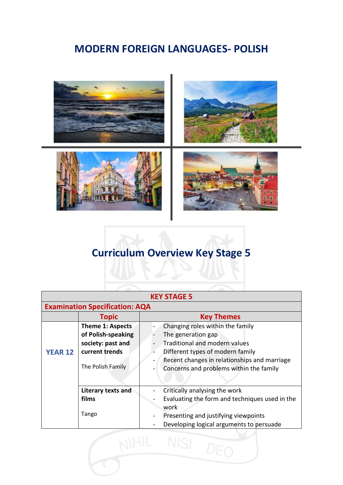## **MODERN FOREIGN LANGUAGES- POLISH**



## **Curriculum Overview Key Stage 5**

| <b>KEY STAGE 5</b>                    |                         |                                                                                                                     |  |  |  |  |  |  |
|---------------------------------------|-------------------------|---------------------------------------------------------------------------------------------------------------------|--|--|--|--|--|--|
| <b>Examination Specification: AQA</b> |                         |                                                                                                                     |  |  |  |  |  |  |
|                                       | <b>Topic</b>            | <b>Key Themes</b>                                                                                                   |  |  |  |  |  |  |
|                                       | <b>Theme 1: Aspects</b> | Changing roles within the family                                                                                    |  |  |  |  |  |  |
| <b>YEAR 12</b>                        | of Polish-speaking      | The generation gap                                                                                                  |  |  |  |  |  |  |
|                                       | society: past and       | Traditional and modern values                                                                                       |  |  |  |  |  |  |
|                                       | current trends          | Different types of modern family                                                                                    |  |  |  |  |  |  |
|                                       | The Polish Family       | Recent changes in relationships and marriage<br>$\overline{\phantom{0}}$<br>Concerns and problems within the family |  |  |  |  |  |  |
|                                       | Literary texts and      | Critically analysing the work                                                                                       |  |  |  |  |  |  |
|                                       | films                   | Evaluating the form and techniques used in the                                                                      |  |  |  |  |  |  |
|                                       |                         | work                                                                                                                |  |  |  |  |  |  |
|                                       | Tango                   | Presenting and justifying viewpoints                                                                                |  |  |  |  |  |  |
|                                       |                         | Developing logical arguments to persuade                                                                            |  |  |  |  |  |  |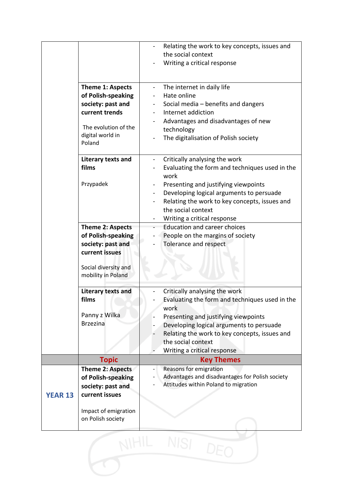|                |                                                                                                                                            | Relating the work to key concepts, issues and<br>the social context<br>Writing a critical response                                                                                                                                                                                                                                        |
|----------------|--------------------------------------------------------------------------------------------------------------------------------------------|-------------------------------------------------------------------------------------------------------------------------------------------------------------------------------------------------------------------------------------------------------------------------------------------------------------------------------------------|
|                | <b>Theme 1: Aspects</b><br>of Polish-speaking<br>society: past and<br>current trends<br>The evolution of the<br>digital world in<br>Poland | The internet in daily life<br>Hate online<br>Social media - benefits and dangers<br>Internet addiction<br>Advantages and disadvantages of new<br>technology<br>The digitalisation of Polish society                                                                                                                                       |
|                | Literary texts and<br>films<br>Przypadek                                                                                                   | Critically analysing the work<br>$\overline{\phantom{0}}$<br>Evaluating the form and techniques used in the<br>work<br>Presenting and justifying viewpoints<br>Developing logical arguments to persuade<br>$\overline{\phantom{0}}$<br>Relating the work to key concepts, issues and<br>the social context<br>Writing a critical response |
|                | Theme 2: Aspects<br>of Polish-speaking<br>society: past and<br>current issues<br>Social diversity and<br>mobility in Poland                | <b>Education and career choices</b><br>People on the margins of society<br>Tolerance and respect                                                                                                                                                                                                                                          |
|                | Literary texts and<br>films<br>Panny z Wilka<br><b>Brzezina</b>                                                                            | Critically analysing the work<br>Evaluating the form and techniques used in the<br>work<br>Presenting and justifying viewpoints<br>Developing logical arguments to persuade<br>Relating the work to key concepts, issues and<br>the social context<br>Writing a critical response                                                         |
|                | <b>Topic</b>                                                                                                                               | <b>Key Themes</b>                                                                                                                                                                                                                                                                                                                         |
| <b>YEAR 13</b> | Theme 2: Aspects<br>of Polish-speaking<br>society: past and<br>current issues<br>Impact of emigration<br>on Polish society                 | Reasons for emigration<br>Advantages and disadvantages for Polish society<br>Attitudes within Poland to migration                                                                                                                                                                                                                         |
|                |                                                                                                                                            | NISI                                                                                                                                                                                                                                                                                                                                      |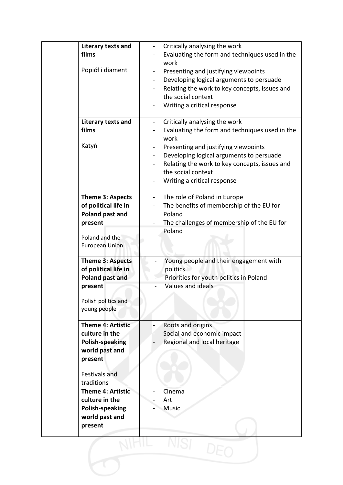| Literary texts and<br>films                | Critically analysing the work<br>Evaluating the form and techniques used in the |
|--------------------------------------------|---------------------------------------------------------------------------------|
|                                            | work                                                                            |
| Popiół i diament                           | Presenting and justifying viewpoints                                            |
|                                            | Developing logical arguments to persuade                                        |
|                                            | Relating the work to key concepts, issues and                                   |
|                                            | the social context                                                              |
|                                            | Writing a critical response                                                     |
| Literary texts and                         | Critically analysing the work                                                   |
| films                                      | Evaluating the form and techniques used in the                                  |
|                                            | work                                                                            |
| Katyń                                      | Presenting and justifying viewpoints                                            |
|                                            | Developing logical arguments to persuade                                        |
|                                            | Relating the work to key concepts, issues and                                   |
|                                            | the social context                                                              |
|                                            | Writing a critical response                                                     |
| <b>Theme 3: Aspects</b>                    | The role of Poland in Europe<br>$\overline{\phantom{0}}$                        |
| of political life in                       | The benefits of membership of the EU for                                        |
| Poland past and                            | Poland                                                                          |
| present                                    | The challenges of membership of the EU for                                      |
|                                            | Poland                                                                          |
| Poland and the<br><b>European Union</b>    |                                                                                 |
|                                            |                                                                                 |
| <b>Theme 3: Aspects</b>                    | Young people and their engagement with                                          |
| of political life in                       | politics                                                                        |
| Poland past and                            | Priorities for youth politics in Poland                                         |
| present                                    | Values and ideals                                                               |
| Polish politics and                        |                                                                                 |
| young people                               |                                                                                 |
|                                            |                                                                                 |
| <b>Theme 4: Artistic</b><br>culture in the | Roots and origins                                                               |
| <b>Polish-speaking</b>                     | Social and economic impact<br>Regional and local heritage                       |
| world past and                             |                                                                                 |
| present                                    |                                                                                 |
|                                            |                                                                                 |
| Festivals and                              |                                                                                 |
| traditions                                 |                                                                                 |
| <b>Theme 4: Artistic</b>                   | Cinema                                                                          |
| culture in the                             | Art                                                                             |
| Polish-speaking<br>world past and          | <b>Music</b>                                                                    |
| present                                    |                                                                                 |
|                                            |                                                                                 |
|                                            |                                                                                 |
|                                            |                                                                                 |
|                                            |                                                                                 |
|                                            |                                                                                 |